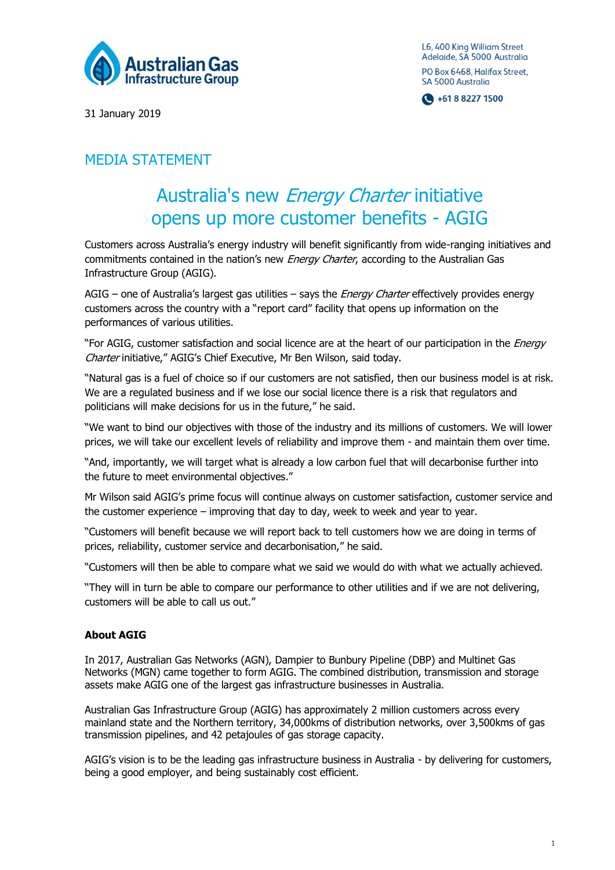

L6, 400 King William Street Adelaide, SA 5000 Australia PO Box 6468, Halifax Street, SA 5000 Australia

 $\bigodot$  +61 8 8227 1500

31 January 2019

## MEDIA STATEMENT

## Australia's new Energy Charter initiative opens up more customer benefits - AGIG

Customers across Australia's energy industry will benefit significantly from wide-ranging initiatives and commitments contained in the nation's new *Energy Charter*, according to the Australian Gas Infrastructure Group (AGIG).

AGIG – one of Australia's largest gas utilities – says the *Energy Charter* effectively provides energy customers across the country with a "report card" facility that opens up information on the performances of various utilities.

"For AGIG, customer satisfaction and social licence are at the heart of our participation in the *Energy* Charter initiative," AGIG's Chief Executive, Mr Ben Wilson, said today.

"Natural gas is a fuel of choice so if our customers are not satisfied, then our business model is at risk. We are a regulated business and if we lose our social licence there is a risk that regulators and politicians will make decisions for us in the future," he said.

"We want to bind our objectives with those of the industry and its millions of customers. We will lower prices, we will take our excellent levels of reliability and improve them - and maintain them over time.

"And, importantly, we will target what is already a low carbon fuel that will decarbonise further into the future to meet environmental objectives."

Mr Wilson said AGIG's prime focus will continue always on customer satisfaction, customer service and the customer experience – improving that day to day, week to week and year to year.

"Customers will benefit because we will report back to tell customers how we are doing in terms of prices, reliability, customer service and decarbonisation," he said.

"Customers will then be able to compare what we said we would do with what we actually achieved.

"They will in turn be able to compare our performance to other utilities and if we are not delivering, customers will be able to call us out."

## **About AGIG**

In 2017, Australian Gas Networks (AGN), Dampier to Bunbury Pipeline (DBP) and Multinet Gas Networks (MGN) came together to form AGIG. The combined distribution, transmission and storage assets make AGIG one of the largest gas infrastructure businesses in Australia.

Australian Gas Infrastructure Group (AGIG) has approximately 2 million customers across every mainland state and the Northern territory, 34,000kms of distribution networks, over 3,500kms of gas transmission pipelines, and 42 petajoules of gas storage capacity.

AGIG's vision is to be the leading gas infrastructure business in Australia - by delivering for customers, being a good employer, and being sustainably cost efficient.